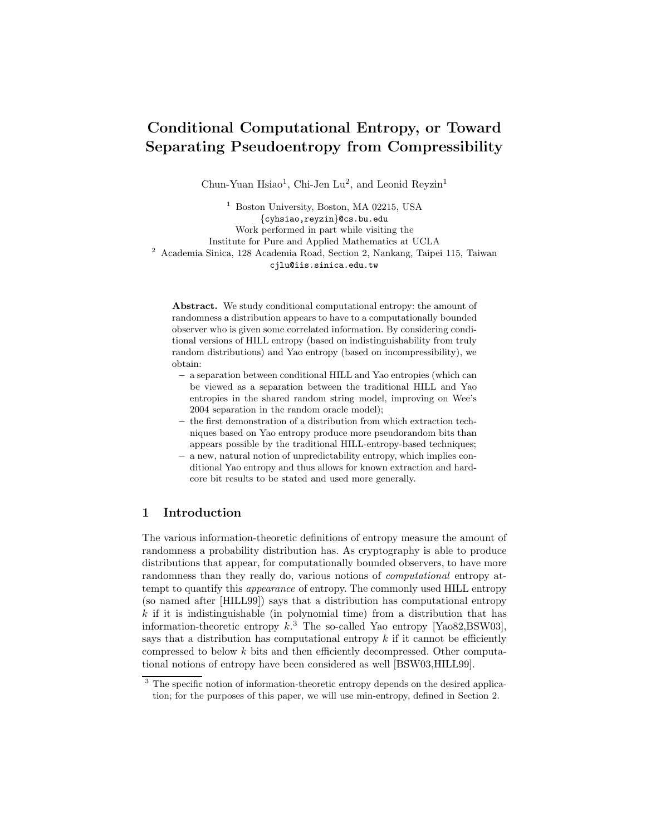# Conditional Computational Entropy, or Toward Separating Pseudoentropy from Compressibility

Chun-Yuan Hsiao<sup>1</sup>, Chi-Jen Lu<sup>2</sup>, and Leonid Reyzin<sup>1</sup>

<sup>1</sup> Boston University, Boston, MA 02215, USA {cyhsiao,reyzin}@cs.bu.edu Work performed in part while visiting the Institute for Pure and Applied Mathematics at UCLA <sup>2</sup> Academia Sinica, 128 Academia Road, Section 2, Nankang, Taipei 115, Taiwan cjlu@iis.sinica.edu.tw

Abstract. We study conditional computational entropy: the amount of randomness a distribution appears to have to a computationally bounded observer who is given some correlated information. By considering conditional versions of HILL entropy (based on indistinguishability from truly random distributions) and Yao entropy (based on incompressibility), we obtain:

- a separation between conditional HILL and Yao entropies (which can be viewed as a separation between the traditional HILL and Yao entropies in the shared random string model, improving on Wee's 2004 separation in the random oracle model);
- the first demonstration of a distribution from which extraction techniques based on Yao entropy produce more pseudorandom bits than appears possible by the traditional HILL-entropy-based techniques;
- a new, natural notion of unpredictability entropy, which implies conditional Yao entropy and thus allows for known extraction and hardcore bit results to be stated and used more generally.

# 1 Introduction

The various information-theoretic definitions of entropy measure the amount of randomness a probability distribution has. As cryptography is able to produce distributions that appear, for computationally bounded observers, to have more randomness than they really do, various notions of computational entropy attempt to quantify this appearance of entropy. The commonly used HILL entropy (so named after [HILL99]) says that a distribution has computational entropy  $k$  if it is indistinguishable (in polynomial time) from a distribution that has information-theoretic entropy  $k^3$ . The so-called Yao entropy [Yao82,BSW03], says that a distribution has computational entropy  $k$  if it cannot be efficiently compressed to below k bits and then efficiently decompressed. Other computational notions of entropy have been considered as well [BSW03,HILL99].

<sup>&</sup>lt;sup>3</sup> The specific notion of information-theoretic entropy depends on the desired application; for the purposes of this paper, we will use min-entropy, defined in Section 2.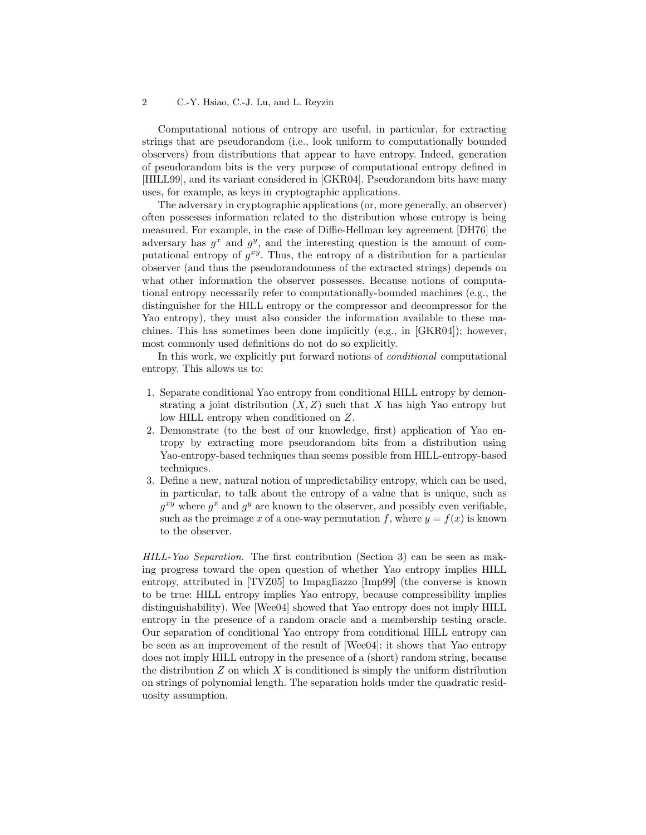#### 2 C.-Y. Hsiao, C.-J. Lu, and L. Reyzin

Computational notions of entropy are useful, in particular, for extracting strings that are pseudorandom (i.e., look uniform to computationally bounded observers) from distributions that appear to have entropy. Indeed, generation of pseudorandom bits is the very purpose of computational entropy defined in [HILL99], and its variant considered in [GKR04]. Pseudorandom bits have many uses, for example, as keys in cryptographic applications.

The adversary in cryptographic applications (or, more generally, an observer) often possesses information related to the distribution whose entropy is being measured. For example, in the case of Diffie-Hellman key agreement [DH76] the adversary has  $g^x$  and  $g^y$ , and the interesting question is the amount of computational entropy of  $g^{xy}$ . Thus, the entropy of a distribution for a particular observer (and thus the pseudorandomness of the extracted strings) depends on what other information the observer possesses. Because notions of computational entropy necessarily refer to computationally-bounded machines (e.g., the distinguisher for the HILL entropy or the compressor and decompressor for the Yao entropy), they must also consider the information available to these machines. This has sometimes been done implicitly (e.g., in [GKR04]); however, most commonly used definitions do not do so explicitly.

In this work, we explicitly put forward notions of conditional computational entropy. This allows us to:

- 1. Separate conditional Yao entropy from conditional HILL entropy by demonstrating a joint distribution  $(X, Z)$  such that X has high Yao entropy but low HILL entropy when conditioned on Z.
- 2. Demonstrate (to the best of our knowledge, first) application of Yao entropy by extracting more pseudorandom bits from a distribution using Yao-entropy-based techniques than seems possible from HILL-entropy-based techniques.
- 3. Define a new, natural notion of unpredictability entropy, which can be used, in particular, to talk about the entropy of a value that is unique, such as  $g^{xy}$  where  $g^x$  and  $g^y$  are known to the observer, and possibly even verifiable, such as the preimage x of a one-way permutation f, where  $y = f(x)$  is known to the observer.

HILL-Yao Separation. The first contribution (Section 3) can be seen as making progress toward the open question of whether Yao entropy implies HILL entropy, attributed in [TVZ05] to Impagliazzo [Imp99] (the converse is known to be true: HILL entropy implies Yao entropy, because compressibility implies distinguishability). Wee [Wee04] showed that Yao entropy does not imply HILL entropy in the presence of a random oracle and a membership testing oracle. Our separation of conditional Yao entropy from conditional HILL entropy can be seen as an improvement of the result of [Wee04]: it shows that Yao entropy does not imply HILL entropy in the presence of a (short) random string, because the distribution  $Z$  on which  $X$  is conditioned is simply the uniform distribution on strings of polynomial length. The separation holds under the quadratic residuosity assumption.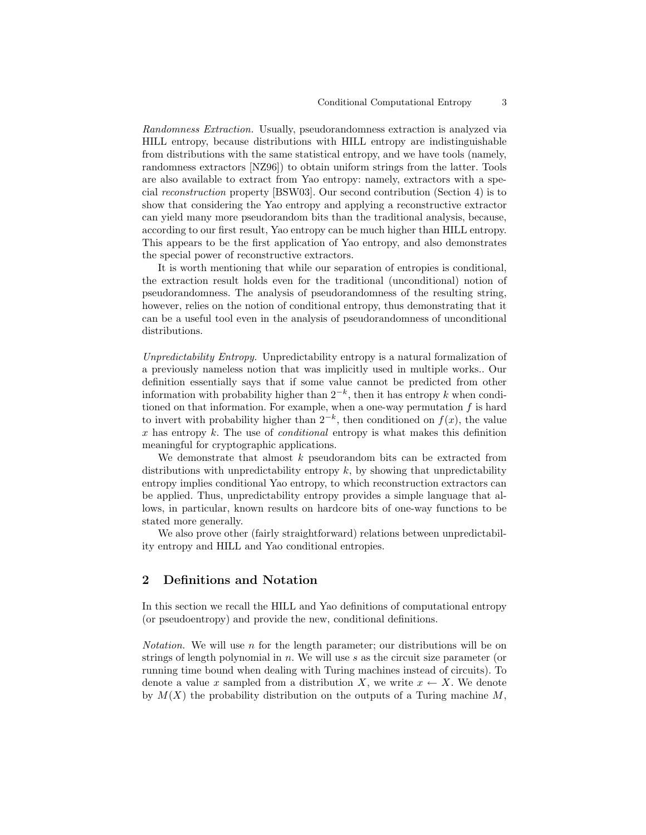Randomness Extraction. Usually, pseudorandomness extraction is analyzed via HILL entropy, because distributions with HILL entropy are indistinguishable from distributions with the same statistical entropy, and we have tools (namely, randomness extractors [NZ96]) to obtain uniform strings from the latter. Tools are also available to extract from Yao entropy: namely, extractors with a special reconstruction property [BSW03]. Our second contribution (Section 4) is to show that considering the Yao entropy and applying a reconstructive extractor can yield many more pseudorandom bits than the traditional analysis, because, according to our first result, Yao entropy can be much higher than HILL entropy. This appears to be the first application of Yao entropy, and also demonstrates the special power of reconstructive extractors.

It is worth mentioning that while our separation of entropies is conditional, the extraction result holds even for the traditional (unconditional) notion of pseudorandomness. The analysis of pseudorandomness of the resulting string, however, relies on the notion of conditional entropy, thus demonstrating that it can be a useful tool even in the analysis of pseudorandomness of unconditional distributions.

Unpredictability Entropy. Unpredictability entropy is a natural formalization of a previously nameless notion that was implicitly used in multiple works.. Our definition essentially says that if some value cannot be predicted from other information with probability higher than  $2^{-k}$ , then it has entropy k when conditioned on that information. For example, when a one-way permutation  $f$  is hard to invert with probability higher than  $2^{-k}$ , then conditioned on  $f(x)$ , the value x has entropy  $k$ . The use of *conditional* entropy is what makes this definition meaningful for cryptographic applications.

We demonstrate that almost  $k$  pseudorandom bits can be extracted from distributions with unpredictability entropy  $k$ , by showing that unpredictability entropy implies conditional Yao entropy, to which reconstruction extractors can be applied. Thus, unpredictability entropy provides a simple language that allows, in particular, known results on hardcore bits of one-way functions to be stated more generally.

We also prove other (fairly straightforward) relations between unpredictability entropy and HILL and Yao conditional entropies.

# 2 Definitions and Notation

In this section we recall the HILL and Yao definitions of computational entropy (or pseudoentropy) and provide the new, conditional definitions.

Notation. We will use n for the length parameter; our distributions will be on strings of length polynomial in  $n$ . We will use  $s$  as the circuit size parameter (or running time bound when dealing with Turing machines instead of circuits). To denote a value x sampled from a distribution X, we write  $x \leftarrow X$ . We denote by  $M(X)$  the probability distribution on the outputs of a Turing machine M,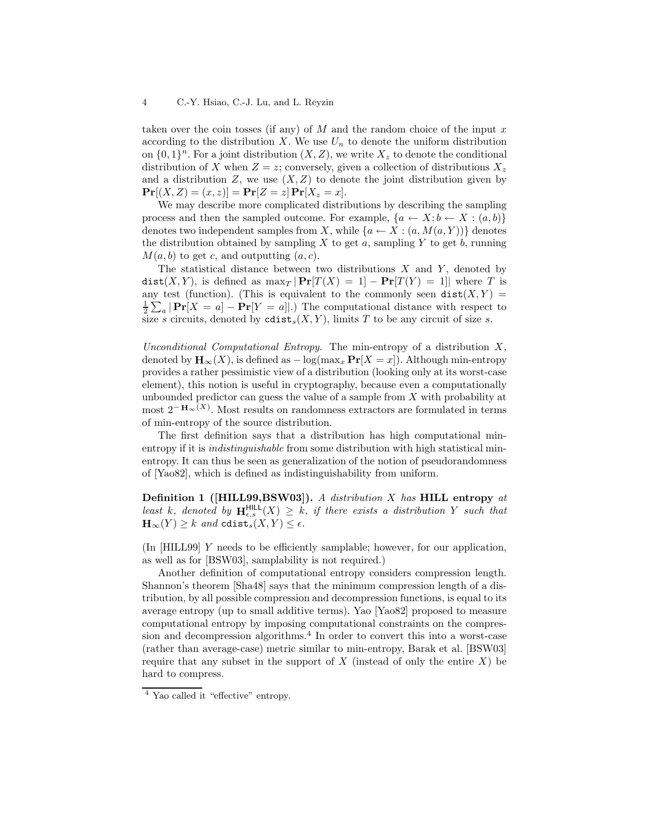taken over the coin tosses (if any) of  $M$  and the random choice of the input  $x$ according to the distribution X. We use  $U_n$  to denote the uniform distribution on  $\{0,1\}^n$ . For a joint distribution  $(X,Z)$ , we write  $X_z$  to denote the conditional distribution of X when  $Z = z$ ; conversely, given a collection of distributions  $X_z$ and a distribution  $Z$ , we use  $(X, Z)$  to denote the joint distribution given by  $Pr[(X, Z) = (x, z)] = Pr[Z = z] Pr[X_z = x].$ 

We may describe more complicated distributions by describing the sampling process and then the sampled outcome. For example,  ${a \leftarrow X; b \leftarrow X : (a, b)}$ denotes two independent samples from X, while  ${a \leftarrow X : (a, M(a, Y))}$  denotes the distribution obtained by sampling  $X$  to get  $a$ , sampling  $Y$  to get  $b$ , running  $M(a, b)$  to get c, and outputting  $(a, c)$ .

The statistical distance between two distributions  $X$  and  $Y$ , denoted by dist(X, Y), is defined as  $\max_T |\Pr[T(X) = 1] - \Pr[T(Y) = 1]|$  where T is any test (function). (This is equivalent to the commonly seen  $dist(X, Y) =$  $\frac{1}{2}\sum_a |\mathbf{Pr}[X = a] - \mathbf{Pr}[Y = a]|.)$  The computational distance with respect to size s circuits, denoted by  $\text{cdist}_{s}(X, Y)$ , limits T to be any circuit of size s.

Unconditional Computational Entropy. The min-entropy of a distribution  $X$ , denoted by  $\mathbf{H}_{\infty}(X)$ , is defined as  $-\log(\max_{x} \mathbf{Pr}[X=x])$ . Although min-entropy provides a rather pessimistic view of a distribution (looking only at its worst-case element), this notion is useful in cryptography, because even a computationally unbounded predictor can guess the value of a sample from  $X$  with probability at most  $2^{-\mathbf{H}_{\infty}(X)}$ . Most results on randomness extractors are formulated in terms of min-entropy of the source distribution.

The first definition says that a distribution has high computational minentropy if it is *indistinguishable* from some distribution with high statistical minentropy. It can thus be seen as generalization of the notion of pseudorandomness of [Yao82], which is defined as indistinguishability from uniform.

Definition 1 ([HILL99,BSW03]). A distribution X has HILL entropy at least k, denoted by  $\mathbf{H}_{\epsilon,s}^{HILL}(X) \geq k$ , if there exists a distribution Y such that  $\mathbf{H}_{\infty}(Y) \geq k$  and cdist $_s(X, Y) \leq \epsilon$ .

 $\text{[HILL99]}$  Y needs to be efficiently samplable; however, for our application, as well as for [BSW03], samplability is not required.)

Another definition of computational entropy considers compression length. Shannon's theorem [Sha48] says that the minimum compression length of a distribution, by all possible compression and decompression functions, is equal to its average entropy (up to small additive terms). Yao [Yao82] proposed to measure computational entropy by imposing computational constraints on the compression and decompression algorithms.<sup>4</sup> In order to convert this into a worst-case (rather than average-case) metric similar to min-entropy, Barak et al. [BSW03] require that any subset in the support of  $X$  (instead of only the entire  $X$ ) be hard to compress.

<sup>4</sup> Yao called it "effective" entropy.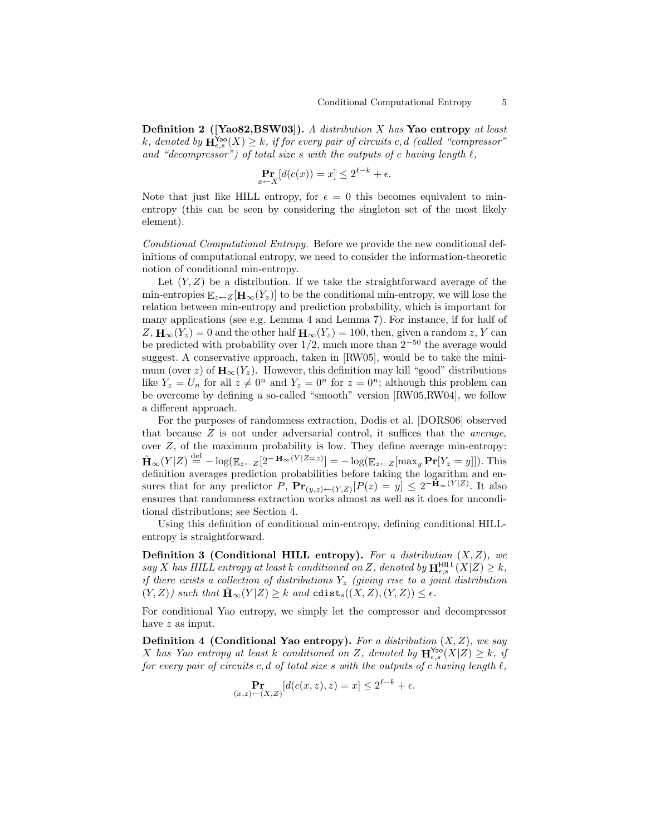Definition 2 ([Yao82,BSW03]). A distribution X has Yao entropy at least k, denoted by  $\mathbf{H}^{\text{Yao}}_{\epsilon,s}(X) \geq k$ , if for every pair of circuits c, d (called "compressor" and "decompressor") of total size s with the outputs of c having length  $\ell$ ,

$$
\Pr_{x \leftarrow X}[d(c(x)) = x] \le 2^{\ell - k} + \epsilon.
$$

Note that just like HILL entropy, for  $\epsilon = 0$  this becomes equivalent to minentropy (this can be seen by considering the singleton set of the most likely element).

Conditional Computational Entropy. Before we provide the new conditional definitions of computational entropy, we need to consider the information-theoretic notion of conditional min-entropy.

Let  $(Y, Z)$  be a distribution. If we take the straightforward average of the min-entropies  $\mathbb{E}_{z\leftarrow Z}[\mathbf{H}_{\infty}(Y_z)]$  to be the conditional min-entropy, we will lose the relation between min-entropy and prediction probability, which is important for many applications (see e.g. Lemma 4 and Lemma 7). For instance, if for half of  $Z, \mathbf{H}_{\infty}(Y_z) = 0$  and the other half  $\mathbf{H}_{\infty}(Y_z) = 100$ , then, given a random z, Y can be predicted with probability over  $1/2$ , much more than  $2^{-50}$  the average would suggest. A conservative approach, taken in [RW05], would be to take the minimum (over z) of  $\mathbf{H}_{\infty}(Y_z)$ . However, this definition may kill "good" distributions like  $Y_z = U_n$  for all  $z \neq 0^n$  and  $Y_z = 0^n$  for  $z = 0^n$ ; although this problem can be overcome by defining a so-called "smooth" version [RW05,RW04], we follow a different approach.

For the purposes of randomness extraction, Dodis et al. [DORS06] observed that because  $Z$  is not under adversarial control, it suffices that the *average*, over Z, of the maximum probability is low. They define average min-entropy:  $\tilde{\mathbf{H}}_{\infty}(Y|Z) \stackrel{\text{def}}{=} -\log(\mathbb{E}_{z\leftarrow Z}[2^{-\mathbf{H}_{\infty}(Y|Z=z)}] = -\log(\mathbb{E}_{z\leftarrow Z}[\max_y \mathbf{Pr}[Y_z=y]]).$  This definition averages prediction probabilities before taking the logarithm and ensures that for any predictor  $P$ ,  $\mathbf{Pr}_{(y,z)\leftarrow (Y,Z)}[P(z) = y] \leq 2^{-\tilde{\mathbf{H}}_{\infty}(Y|Z)}$ . It also ensures that randomness extraction works almost as well as it does for unconditional distributions; see Section 4.

Using this definition of conditional min-entropy, defining conditional HILLentropy is straightforward.

**Definition 3 (Conditional HILL entropy).** For a distribution  $(X, Z)$ , we say X has HILL entropy at least k conditioned on Z, denoted by  $\mathbf{H}_{\epsilon,s}^{\text{HILL}}(X|Z) \geq k$ , if there exists a collection of distributions  $Y_z$  (giving rise to a joint distribution  $(Y, Z)$ ) such that  $\tilde{H}_{\infty}(Y|Z) \geq k$  and cdist<sub>s</sub> $((X, Z), (Y, Z)) \leq \epsilon$ .

For conditional Yao entropy, we simply let the compressor and decompressor have z as input.

**Definition 4 (Conditional Yao entropy).** For a distribution  $(X, Z)$ , we say X has Yao entropy at least k conditioned on Z, denoted by  $\mathbf{H}^{\text{Yao}}_{\epsilon,s}(X|Z) \geq k$ , if for every pair of circuits c, d of total size s with the outputs of c having length  $\ell$ ,

$$
\Pr_{(x,z)\leftarrow(X,Z)}[d(c(x,z),z) = x] \le 2^{\ell-k} + \epsilon.
$$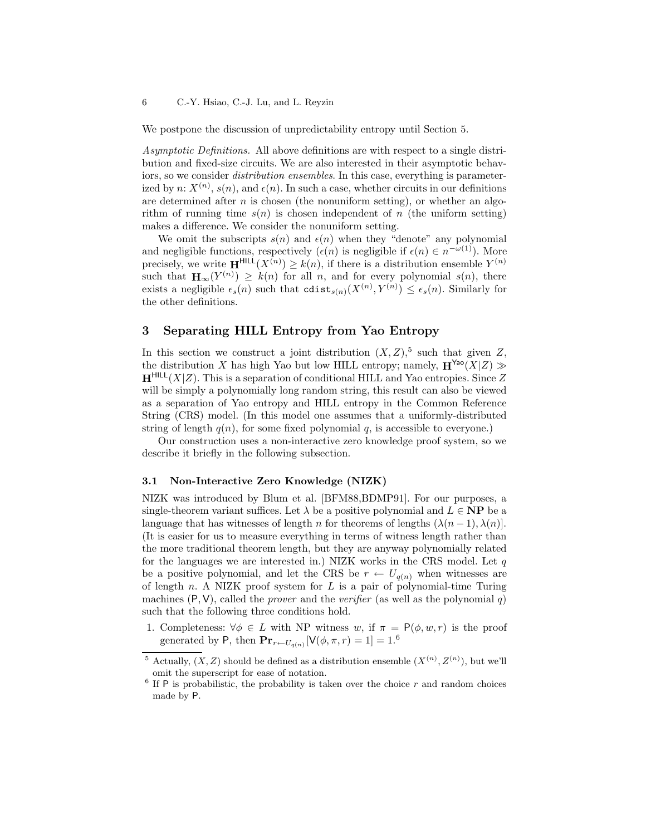We postpone the discussion of unpredictability entropy until Section 5.

Asymptotic Definitions. All above definitions are with respect to a single distribution and fixed-size circuits. We are also interested in their asymptotic behaviors, so we consider *distribution ensembles*. In this case, everything is parameterized by n:  $X^{(n)}$ ,  $s(n)$ , and  $\epsilon(n)$ . In such a case, whether circuits in our definitions are determined after  $n$  is chosen (the nonuniform setting), or whether an algorithm of running time  $s(n)$  is chosen independent of n (the uniform setting) makes a difference. We consider the nonuniform setting.

We omit the subscripts  $s(n)$  and  $\epsilon(n)$  when they "denote" any polynomial and negligible functions, respectively  $(\epsilon(n)$  is negligible if  $\epsilon(n) \in n^{-\omega(1)}$ ). More precisely, we write  $\mathbf{H}^{\text{HILL}}(X^{(n)}) \geq k(n)$ , if there is a distribution ensemble  $Y^{(n)}$ such that  $\mathbf{H}_{\infty}(Y^{(n)}) \geq k(n)$  for all n, and for every polynomial  $s(n)$ , there exists a negligible  $\epsilon_s(n)$  such that  $\text{cdist}_{s(n)}(X^{(n)}, Y^{(n)}) \leq \epsilon_s(n)$ . Similarly for the other definitions.

### 3 Separating HILL Entropy from Yao Entropy

In this section we construct a joint distribution  $(X, Z)$ ,<sup>5</sup> such that given Z, the distribution X has high Yao but low HILL entropy; namely,  $\mathbf{H}^{\text{Yao}}(X|Z) \gg$  $\textbf{H}^{\text{HILL}}(X|Z)$ . This is a separation of conditional HILL and Yao entropies. Since Z will be simply a polynomially long random string, this result can also be viewed as a separation of Yao entropy and HILL entropy in the Common Reference String (CRS) model. (In this model one assumes that a uniformly-distributed string of length  $q(n)$ , for some fixed polynomial q, is accessible to everyone.)

Our construction uses a non-interactive zero knowledge proof system, so we describe it briefly in the following subsection.

#### 3.1 Non-Interactive Zero Knowledge (NIZK)

NIZK was introduced by Blum et al. [BFM88,BDMP91]. For our purposes, a single-theorem variant suffices. Let  $\lambda$  be a positive polynomial and  $L \in \mathbf{NP}$  be a language that has witnesses of length n for theorems of lengths  $(\lambda(n-1), \lambda(n))$ . (It is easier for us to measure everything in terms of witness length rather than the more traditional theorem length, but they are anyway polynomially related for the languages we are interested in.) NIZK works in the CRS model. Let  $q$ be a positive polynomial, and let the CRS be  $r \leftarrow U_{q(n)}$  when witnesses are of length  $n$ . A NIZK proof system for  $L$  is a pair of polynomial-time Turing machines  $(P, V)$ , called the *prover* and the *verifier* (as well as the polynomial q) such that the following three conditions hold.

1. Completeness:  $\forall \phi \in L$  with NP witness w, if  $\pi = P(\phi, w, r)$  is the proof generated by P, then  $\mathbf{Pr}_{r \leftarrow U_{q(n)}}[\mathsf{V}(\phi,\pi,r)=1] = 1.6$ 

<sup>&</sup>lt;sup>5</sup> Actually,  $(X, Z)$  should be defined as a distribution ensemble  $(X^{(n)}, Z^{(n)})$ , but we'll omit the superscript for ease of notation.

 $6$  If P is probabilistic, the probability is taken over the choice r and random choices made by P.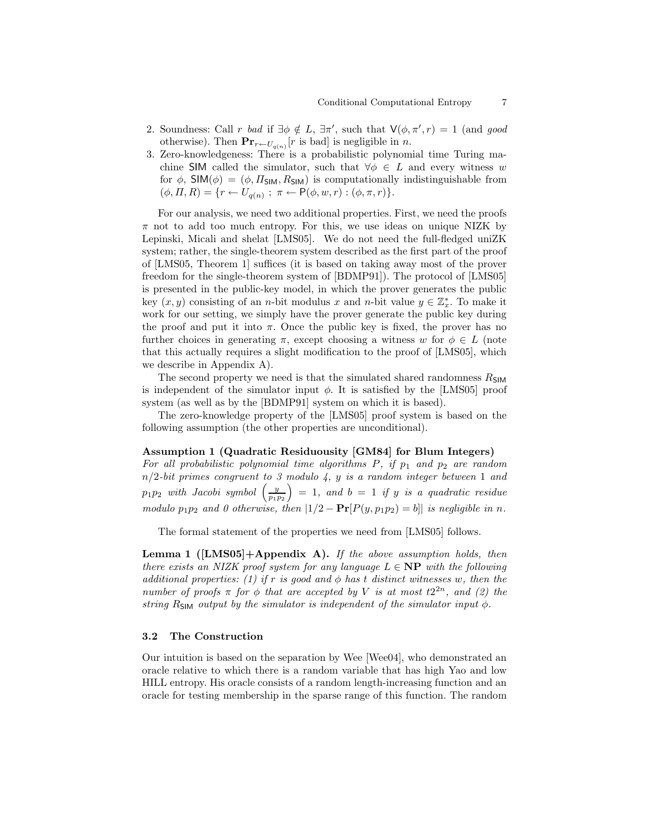- 2. Soundness: Call r bad if  $\exists \phi \notin L$ ,  $\exists \pi'$ , such that  $\mathsf{V}(\phi, \pi', r) = 1$  (and good otherwise). Then  $Pr_{r \leftarrow U_{q(n)}}[r]$  is bad] is negligible in n.
- 3. Zero-knowledgeness: There is a probabilistic polynomial time Turing machine SIM called the simulator, such that  $\forall \phi \in L$  and every witness w for  $\phi$ , SIM( $\phi$ ) = ( $\phi$ ,  $\Pi$ <sub>SIM</sub>,  $R$ <sub>SIM</sub>) is computationally indistinguishable from  $(\phi, \Pi, R) = \{r \leftarrow U_{q(n)}; \pi \leftarrow P(\phi, w, r) : (\phi, \pi, r)\}.$

For our analysis, we need two additional properties. First, we need the proofs  $\pi$  not to add too much entropy. For this, we use ideas on unique NIZK by Lepinski, Micali and shelat [LMS05]. We do not need the full-fledged uniZK system; rather, the single-theorem system described as the first part of the proof of [LMS05, Theorem 1] suffices (it is based on taking away most of the prover freedom for the single-theorem system of [BDMP91]). The protocol of [LMS05] is presented in the public-key model, in which the prover generates the public key  $(x, y)$  consisting of an *n*-bit modulus x and *n*-bit value  $y \in \mathbb{Z}_x^*$ . To make it work for our setting, we simply have the prover generate the public key during the proof and put it into  $\pi$ . Once the public key is fixed, the prover has no further choices in generating  $\pi$ , except choosing a witness w for  $\phi \in L$  (note that this actually requires a slight modification to the proof of [LMS05], which we describe in Appendix A).

The second property we need is that the simulated shared randomness  $R_{SIM}$ is independent of the simulator input  $\phi$ . It is satisfied by the [LMS05] proof system (as well as by the [BDMP91] system on which it is based).

The zero-knowledge property of the [LMS05] proof system is based on the following assumption (the other properties are unconditional).

# Assumption 1 (Quadratic Residuousity [GM84] for Blum Integers)

For all probabilistic polynomial time algorithms  $P$ , if  $p_1$  and  $p_2$  are random  $n/2$ -bit primes congruent to 3 modulo 4, y is a random integer between 1 and  $p_1p_2$  with Jacobi symbol  $\left(\frac{y}{p_1p_2}\right) = 1$ , and  $b = 1$  if y is a quadratic residue modulo  $p_1p_2$  and 0 otherwise, then  $|1/2 - \Pr[P(y, p_1p_2) = b]|$  is negligible in n.

The formal statement of the properties we need from [LMS05] follows.

**Lemma 1** ([LMS05]+Appendix A). If the above assumption holds, then there exists an NIZK proof system for any language  $L \in \mathbb{NP}$  with the following additional properties: (1) if r is good and  $\phi$  has t distinct witnesses w, then the number of proofs  $\pi$  for  $\phi$  that are accepted by V is at most  $t2^{2n}$ , and (2) the string  $R_{SIM}$  output by the simulator is independent of the simulator input  $\phi$ .

#### 3.2 The Construction

Our intuition is based on the separation by Wee [Wee04], who demonstrated an oracle relative to which there is a random variable that has high Yao and low HILL entropy. His oracle consists of a random length-increasing function and an oracle for testing membership in the sparse range of this function. The random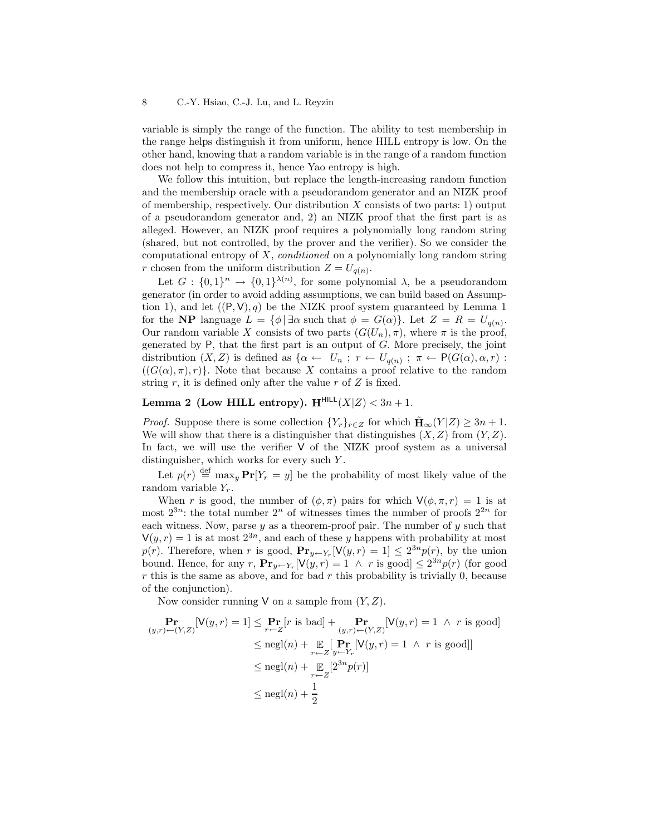variable is simply the range of the function. The ability to test membership in the range helps distinguish it from uniform, hence HILL entropy is low. On the other hand, knowing that a random variable is in the range of a random function does not help to compress it, hence Yao entropy is high.

We follow this intuition, but replace the length-increasing random function and the membership oracle with a pseudorandom generator and an NIZK proof of membership, respectively. Our distribution  $X$  consists of two parts: 1) output of a pseudorandom generator and, 2) an NIZK proof that the first part is as alleged. However, an NIZK proof requires a polynomially long random string (shared, but not controlled, by the prover and the verifier). So we consider the computational entropy of  $X$ , *conditioned* on a polynomially long random string r chosen from the uniform distribution  $Z = U_{q(n)}$ .

Let  $G: \{0,1\}^n \to \{0,1\}^{\lambda(n)}$ , for some polynomial  $\lambda$ , be a pseudorandom generator (in order to avoid adding assumptions, we can build based on Assumption 1), and let  $((P, V), q)$  be the NIZK proof system guaranteed by Lemma 1 for the **NP** language  $L = {\phi | \exists \alpha \text{ such that } \phi = G(\alpha)}$ . Let  $Z = R = U_{q(n)}$ . Our random variable X consists of two parts  $(G(U_n), \pi)$ , where  $\pi$  is the proof, generated by  $P$ , that the first part is an output of  $G$ . More precisely, the joint distribution  $(X, Z)$  is defined as  $\{\alpha \leftarrow U_n : r \leftarrow U_{q(n)} : \pi \leftarrow P(G(\alpha), \alpha, r)$ :  $((G(\alpha), \pi), r)$ . Note that because X contains a proof relative to the random string r, it is defined only after the value  $r$  of  $Z$  is fixed.

# Lemma 2 (Low HILL entropy).  $\textbf{H}^{\textsf{HILL}}(X|Z) < 3n+1$ .

*Proof.* Suppose there is some collection  ${Y_r}_{r \in Z}$  for which  $\tilde{\mathbf{H}}_{\infty}(Y|Z) \geq 3n + 1$ . We will show that there is a distinguisher that distinguishes  $(X, Z)$  from  $(Y, Z)$ . In fact, we will use the verifier  $V$  of the NIZK proof system as a universal distinguisher, which works for every such Y.

Let  $p(r) \stackrel{\text{def}}{=} \max_y \mathbf{Pr}[Y_r = y]$  be the probability of most likely value of the random variable  $Y_r$ .

When r is good, the number of  $(\phi, \pi)$  pairs for which  $V(\phi, \pi, r) = 1$  is at most  $2^{3n}$ : the total number  $2^n$  of witnesses times the number of proofs  $2^{2n}$  for each witness. Now, parse  $y$  as a theorem-proof pair. The number of  $y$  such that  $V(y, r) = 1$  is at most  $2^{3n}$ , and each of these y happens with probability at most  $p(r)$ . Therefore, when r is good,  $\mathbf{Pr}_{y \leftarrow Y_r}[\mathsf{V}(y,r) = 1] \leq 2^{3n} p(r)$ , by the union bound. Hence, for any r,  $\mathbf{Pr}_{y \leftarrow Y_r} [V(y, r)] = 1 \land r$  is good  $\leq 2^{3n} p(r)$  (for good  $r$  this is the same as above, and for bad  $r$  this probability is trivially 0, because of the conjunction).

Now consider running  $V$  on a sample from  $(Y, Z)$ .

$$
\begin{aligned}\n\mathbf{Pr}_{(y,r)\leftarrow(Y,Z)}[\mathsf{V}(y,r)=1] &\leq \mathbf{Pr}_{r\leftarrow Z}[r\text{ is bad}] + \mathbf{Pr}_{(y,r)\leftarrow(Y,Z)}[\mathsf{V}(y,r)=1 \ \wedge \ r \text{ is good}] \\
&\leq \mathsf{negl}(n) + \mathop{\mathbb{E}}_{r\leftarrow Z}[\mathop{\mathbf{Pr}}_{y\leftarrow Y_r}[\mathsf{V}(y,r)=1 \ \wedge \ r \text{ is good}]] \\
&\leq \mathsf{negl}(n) + \mathop{\mathbb{E}}_{r\leftarrow Z}[2^{3n}p(r)] \\
&\leq \mathsf{negl}(n) + \frac{1}{2}\n\end{aligned}
$$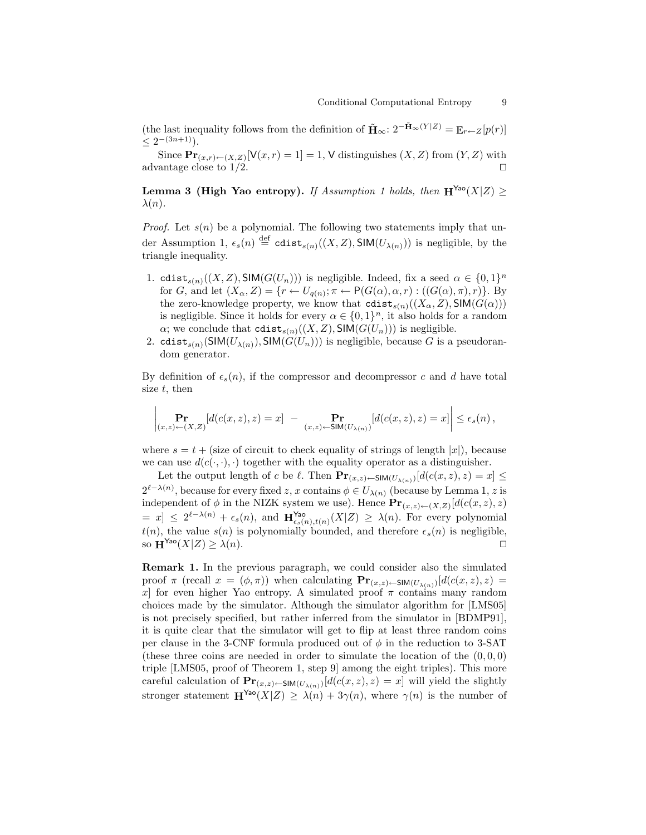(the last inequality follows from the definition of  $\tilde{\mathbf{H}}_{\infty}$ :  $2^{-\tilde{\mathbf{H}}_{\infty}(Y|Z)} = \mathbb{E}_{r \leftarrow Z}[p(r)]$  $\leq 2^{-(3n+1)}$ .

Since  $\mathbf{Pr}_{(x,r)\leftarrow(X,Z)}[V(x,r)=1]=1, V$  distinguishes  $(X,Z)$  from  $(Y,Z)$  with advantage close to  $1/2$ .

Lemma 3 (High Yao entropy). If Assumption 1 holds, then  $H^{\text{Yao}}(X|Z) \geq$  $\lambda(n)$ .

*Proof.* Let  $s(n)$  be a polynomial. The following two statements imply that under Assumption 1,  $\epsilon_s(n) \stackrel{\text{def}}{=} \text{cdist}_{s(n)}((X, Z), \text{SIM}(U_{\lambda(n)}))$  is negligible, by the triangle inequality.

- 1. cdist<sub>s(n)</sub>((X, Z), SIM( $G(U_n)$ )) is negligible. Indeed, fix a seed  $\alpha \in \{0,1\}^n$ for G, and let  $(X_\alpha, Z) = \{r \leftarrow U_{q(n)}; \pi \leftarrow P(G(\alpha), \alpha, r) : ((G(\alpha), \pi), r)\}.$  By the zero-knowledge property, we know that  $\text{cdist}_{s(n)}((X_\alpha,Z),\text{SIM}(G(\alpha)))$ is negligible. Since it holds for every  $\alpha \in \{0,1\}^n$ , it also holds for a random  $\alpha$ ; we conclude that  $\text{cdist}_{s(n)}((X,Z), \text{SIM}(G(U_n)))$  is negligible.
- 2. cdist<sub>s(n)</sub>(SIM( $U_{\lambda(n)}$ ), SIM( $G(U_n)$ )) is negligible, because G is a pseudorandom generator.

By definition of  $\epsilon_s(n)$ , if the compressor and decompressor c and d have total size  $t$ , then

$$
\left|\Pr_{(x,z)\leftarrow (X,Z)}[d(c(x,z),z)=x] \right. \nonumber \\ \left. - \Pr_{(x,z)\leftarrow \text{SIM}(U_{\lambda(n)})}[d(c(x,z),z)=x] \right| \leq \epsilon_s(n)\,,
$$

where  $s = t + (size of circuit to check equality of strings of length  $|x|$ ), because$ we can use  $d(c(\cdot,\cdot),\cdot)$  together with the equality operator as a distinguisher.

Let the output length of c be  $\ell$ . Then  $\mathbf{Pr}_{(x,z)\leftarrow \mathsf{SIM}(U_{\lambda(n)})}[d(c(x,z),z)=x]\leq$  $2^{\ell-\lambda(n)}$ , because for every fixed  $z, x$  contains  $\phi \in U_{\lambda(n)}$  (because by Lemma 1, z is independent of  $\phi$  in the NIZK system we use). Hence  $\mathbf{Pr}_{(x,z)\leftarrow (X,Z)}[d(c(x,z),z)]$  $= x \leq 2^{\ell - \lambda(n)} + \epsilon_s(n)$ , and  $\mathbf{H}_{\epsilon_s(n),t(n)}^{\mathsf{Y}_{\mathsf{ao}}}(X|Z) \geq \lambda(n)$ . For every polynomial  $t(n)$ , the value  $s(n)$  is polynomially bounded, and therefore  $\epsilon_s(n)$  is negligible, so  $\mathbf{H}^{\text{Yao}}(X|Z) \geq \lambda(n).$ 

Remark 1. In the previous paragraph, we could consider also the simulated proof  $\pi$  (recall  $x = (\phi, \pi)$ ) when calculating  $\mathbf{Pr}_{(x,z)\leftarrow \mathsf{SIM}(U_{\lambda(n)})}[d(c(x,z),z)$ x] for even higher Yao entropy. A simulated proof  $\pi$  contains many random choices made by the simulator. Although the simulator algorithm for [LMS05] is not precisely specified, but rather inferred from the simulator in [BDMP91], it is quite clear that the simulator will get to flip at least three random coins per clause in the 3-CNF formula produced out of  $\phi$  in the reduction to 3-SAT (these three coins are needed in order to simulate the location of the  $(0,0,0)$ ) triple [LMS05, proof of Theorem 1, step 9] among the eight triples). This more careful calculation of  $\mathbf{Pr}_{(x,z)\leftarrow \mathsf{SIM}(U_{\lambda(n)})}[d(c(x,z),z) = x]$  will yield the slightly stronger statement  $\mathbf{H}^{\text{Yao}}(X|Z) \geq \lambda(n) + 3\gamma(n)$ , where  $\gamma(n)$  is the number of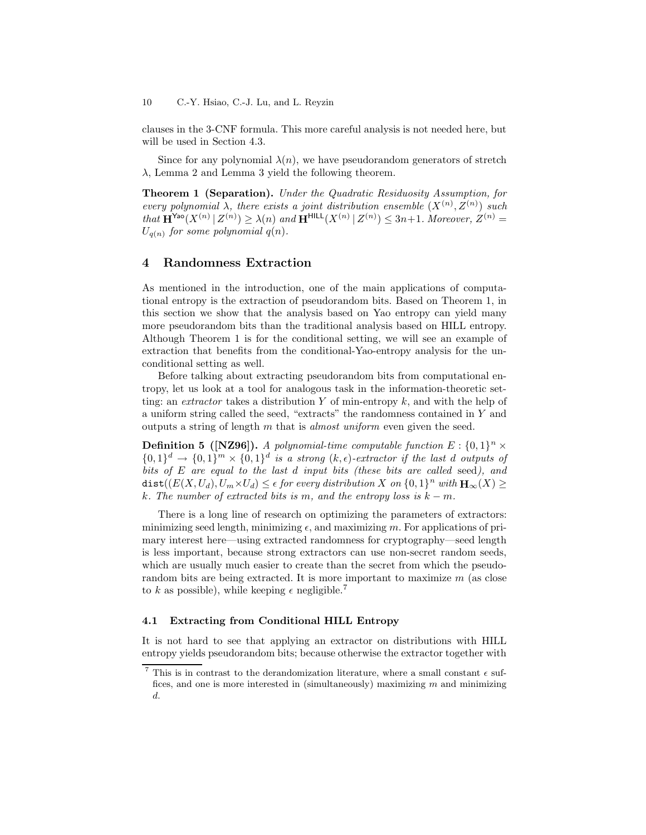clauses in the 3-CNF formula. This more careful analysis is not needed here, but will be used in Section 4.3.

Since for any polynomial  $\lambda(n)$ , we have pseudorandom generators of stretch  $\lambda$ , Lemma 2 and Lemma 3 yield the following theorem.

Theorem 1 (Separation). Under the Quadratic Residuosity Assumption, for every polynomial  $\lambda$ , there exists a joint distribution ensemble  $(X^{(n)}, Z^{(n)})$  such that  $\mathbf{H}^{\mathsf{Yao}}(X^{(n)} | Z^{(n)}) \geq \lambda(n)$  and  $\mathbf{H}^{\mathsf{HILL}}(X^{(n)} | Z^{(n)}) \leq 3n+1$ . Moreover,  $Z^{(n)} =$  $U_{q(n)}$  for some polynomial  $q(n)$ .

# 4 Randomness Extraction

As mentioned in the introduction, one of the main applications of computational entropy is the extraction of pseudorandom bits. Based on Theorem 1, in this section we show that the analysis based on Yao entropy can yield many more pseudorandom bits than the traditional analysis based on HILL entropy. Although Theorem 1 is for the conditional setting, we will see an example of extraction that benefits from the conditional-Yao-entropy analysis for the unconditional setting as well.

Before talking about extracting pseudorandom bits from computational entropy, let us look at a tool for analogous task in the information-theoretic setting: an *extractor* takes a distribution Y of min-entropy  $k$ , and with the help of a uniform string called the seed, "extracts" the randomness contained in Y and outputs a string of length  $m$  that is *almost uniform* even given the seed.

**Definition 5** ([NZ96]). A polynomial-time computable function  $E: \{0,1\}^n \times$  $\{0,1\}^d \to \{0,1\}^m \times \{0,1\}^d$  is a strong  $(k,\epsilon)$ -extractor if the last d outputs of bits of E are equal to the last d input bits (these bits are called seed), and  $\texttt{dist}((E(X, U_d), U_m \times U_d) \leq \epsilon~for~every~distribution~X~on~\{0, 1\}^n~with~\textbf{H}_{\infty}(X) \geq 0$ k. The number of extracted bits is m, and the entropy loss is  $k - m$ .

There is a long line of research on optimizing the parameters of extractors: minimizing seed length, minimizing  $\epsilon$ , and maximizing m. For applications of primary interest here—using extracted randomness for cryptography—seed length is less important, because strong extractors can use non-secret random seeds, which are usually much easier to create than the secret from which the pseudorandom bits are being extracted. It is more important to maximize  $m$  (as close to k as possible), while keeping  $\epsilon$  negligible.<sup>7</sup>

#### 4.1 Extracting from Conditional HILL Entropy

It is not hard to see that applying an extractor on distributions with HILL entropy yields pseudorandom bits; because otherwise the extractor together with

 $^7$  This is in contrast to the derandomization literature, where a small constant  $\epsilon$  suffices, and one is more interested in (simultaneously) maximizing  $m$  and minimizing d.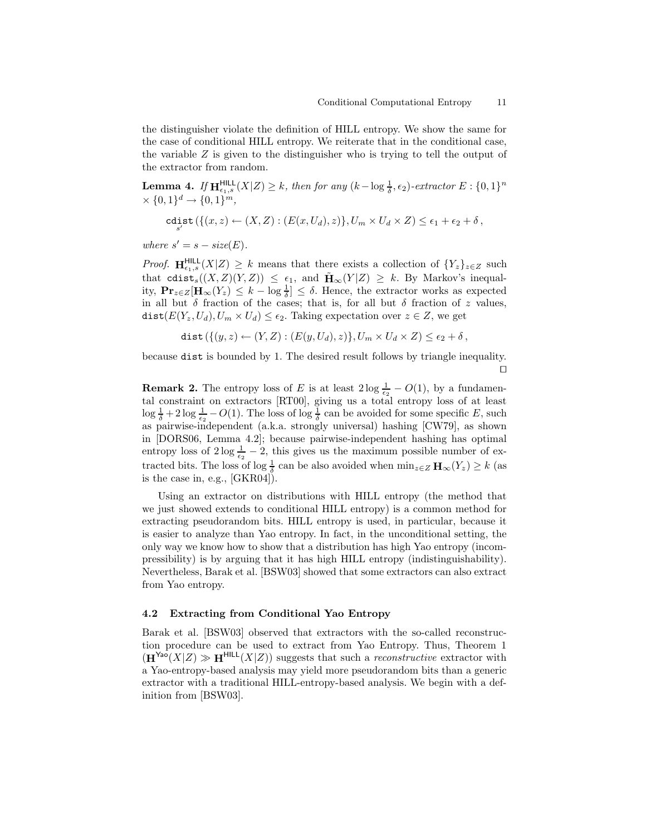the distinguisher violate the definition of HILL entropy. We show the same for the case of conditional HILL entropy. We reiterate that in the conditional case, the variable Z is given to the distinguisher who is trying to tell the output of the extractor from random.

**Lemma 4.** If  $\mathbf{H}_{\epsilon_1,s}^{\text{HILL}}(X|Z) \geq k$ , then for any  $(k - \log \frac{1}{\delta}, \epsilon_2)$ -extractor  $E : \{0,1\}^n$  $\times \{0,1\}^d \to \{0,1\}^m,$ 

$$
\operatorname{cdist}_{s'}(\{(x,z)\leftarrow(X,Z): (E(x,U_d),z)\}, U_m\times U_d\times Z)\leq \epsilon_1+\epsilon_2+\delta,
$$

where  $s' = s - size(E)$ .

*Proof.*  $\mathbf{H}_{\epsilon_1,s}^{\text{HILL}}(X|Z) \geq k$  means that there exists a collection of  $\{Y_z\}_{z\in Z}$  such that cdist<sub>s</sub>( $(X, Z)(Y, Z)$ )  $\leq \epsilon_1$ , and  $\tilde{\mathbf{H}}_{\infty}(Y|Z) \geq k$ . By Markov's inequality,  $\mathbf{Pr}_{z \in Z}[\mathbf{H}_{\infty}(Y_z) \leq k - \log \frac{1}{\delta}] \leq \delta$ . Hence, the extractor works as expected in all but  $\delta$  fraction of the cases; that is, for all but  $\delta$  fraction of z values,  $dist(E(Y_z, U_d), U_m \times U_d) \leq \epsilon_2$ . Taking expectation over  $z \in Z$ , we get

$$
\mathtt{dist}(\{(y,z)\leftarrow (Y,Z): (E(y,U_d),z)\},U_m\times U_d\times Z)\leq \epsilon_2+\delta\,,
$$

because dist is bounded by 1. The desired result follows by triangle inequality.  $\Box$ 

**Remark 2.** The entropy loss of E is at least  $2 \log \frac{1}{\epsilon_2} - O(1)$ , by a fundamental constraint on extractors [RT00], giving us a total entropy loss of at least  $\log \frac{1}{\delta} + 2 \log \frac{1}{\epsilon_2} - O(1)$ . The loss of  $\log \frac{1}{\delta}$  can be avoided for some specific E, such as pairwise-independent (a.k.a. strongly universal) hashing [CW79], as shown in [DORS06, Lemma 4.2]; because pairwise-independent hashing has optimal entropy loss of  $2\log\frac{1}{\epsilon_2}-2$ , this gives us the maximum possible number of extracted bits. The loss of log  $\frac{1}{\delta}$  can be also avoided when  $\min_{z \in Z} \mathbf{H}_{\infty}(Y_z) \geq k$  (as is the case in, e.g., [GKR04]).

Using an extractor on distributions with HILL entropy (the method that we just showed extends to conditional HILL entropy) is a common method for extracting pseudorandom bits. HILL entropy is used, in particular, because it is easier to analyze than Yao entropy. In fact, in the unconditional setting, the only way we know how to show that a distribution has high Yao entropy (incompressibility) is by arguing that it has high HILL entropy (indistinguishability). Nevertheless, Barak et al. [BSW03] showed that some extractors can also extract from Yao entropy.

#### 4.2 Extracting from Conditional Yao Entropy

Barak et al. [BSW03] observed that extractors with the so-called reconstruction procedure can be used to extract from Yao Entropy. Thus, Theorem 1  $(\mathbf{H}^{\text{Yao}}(X|Z) \gg \mathbf{H}^{\text{HILL}}(X|Z))$  suggests that such a *reconstructive* extractor with a Yao-entropy-based analysis may yield more pseudorandom bits than a generic extractor with a traditional HILL-entropy-based analysis. We begin with a definition from [BSW03].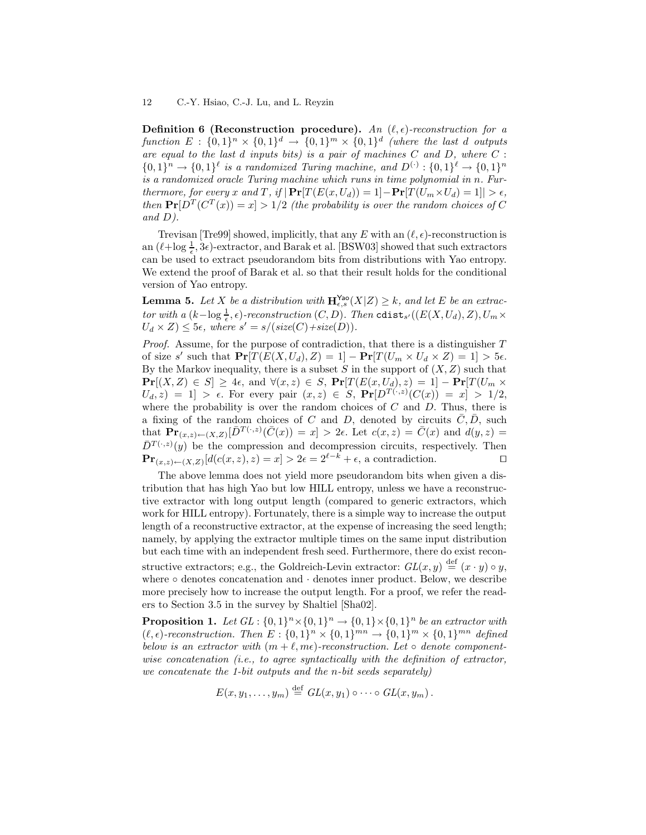**Definition 6 (Reconstruction procedure).** An  $(\ell, \epsilon)$ -reconstruction for a function  $E: \{0,1\}^n \times \{0,1\}^d \rightarrow \{0,1\}^m \times \{0,1\}^d$  (where the last d outputs are equal to the last  $d$  inputs bits) is a pair of machines  $C$  and  $D$ , where  $C$ :  $\{0,1\}^n \rightarrow \{0,1\}^{\ell}$  is a randomized Turing machine, and  $D^{(\cdot)}: \{0,1\}^{\ell} \rightarrow \{0,1\}^n$ is a randomized oracle Turing machine which runs in time polynomial in n. Furthermore, for every x and T, if  $|\Pr[T(E(x, U_d))] = 1 - \Pr[T(U_m \times U_d)] = 1| > \epsilon$ , then  $\Pr[D^T(C^T(x)) = x] > 1/2$  (the probability is over the random choices of C and  $D$ ).

Trevisan [Tre99] showed, implicitly, that any E with an  $(\ell, \epsilon)$ -reconstruction is an  $(\ell + \log \frac{1}{\epsilon}, 3\epsilon)$ -extractor, and Barak et al. [BSW03] showed that such extractors can be used to extract pseudorandom bits from distributions with Yao entropy. We extend the proof of Barak et al. so that their result holds for the conditional version of Yao entropy.

**Lemma 5.** Let X be a distribution with  $\mathbf{H}_{\epsilon,s}^{\text{Yao}}(X|Z) \geq k$ , and let E be an extractor with a  $(k - \log \frac{1}{\epsilon}, \epsilon)$ -reconstruction  $(C, D)$ . Then cdist<sub>s'</sub>  $((E(X, U_d), Z), U_m \times$  $U_d \times Z$ )  $\leq 5\epsilon$ , where  $s' = s/(size(C) + size(D)).$ 

*Proof.* Assume, for the purpose of contradiction, that there is a distinguisher  $T$ of size s' such that  $\Pr[T(E(X, U_d), Z) = 1] - \Pr[T(U_m \times U_d \times Z) = 1] > 5\epsilon$ . By the Markov inequality, there is a subset S in the support of  $(X, Z)$  such that  $\Pr[(X, Z) \in S] \geq 4\epsilon$ , and  $\forall (x, z) \in S$ ,  $\Pr[T(E(x, U_d), z) = 1] - \Pr[T(U_m \times S)]$  $U_d(z) = 1$  >  $\epsilon$ . For every pair  $(x, z) \in S$ ,  $Pr[D^{T(\cdot,z)}(C(x)) = x] > 1/2$ , where the probability is over the random choices of  $C$  and  $D$ . Thus, there is a fixing of the random choices of C and D, denoted by circuits  $\overline{C}, \overline{D}$ , such that  $\mathbf{Pr}_{(x,z)\leftarrow (X,Z)}[\bar{D}^{T(\cdot,z)}(\bar{C}(x))]=x] > 2\epsilon$ . Let  $c(x,z) = \bar{C}(x)$  and  $d(y,z) =$  $\bar{D}^{T(\cdot,z)}(y)$  be the compression and decompression circuits, respectively. Then  $\mathbf{Pr}_{(x,z)\leftarrow(X,Z)}[d(c(x,z),z)=x]>2\epsilon=2^{\ell-k}+\epsilon$ , a contradiction.

The above lemma does not yield more pseudorandom bits when given a distribution that has high Yao but low HILL entropy, unless we have a reconstructive extractor with long output length (compared to generic extractors, which work for HILL entropy). Fortunately, there is a simple way to increase the output length of a reconstructive extractor, at the expense of increasing the seed length; namely, by applying the extractor multiple times on the same input distribution but each time with an independent fresh seed. Furthermore, there do exist reconstructive extractors; e.g., the Goldreich-Levin extractor:  $GL(x, y) \stackrel{\text{def}}{=} (x \cdot y) \circ y$ , where  $\circ$  denotes concatenation and  $\cdot$  denotes inner product. Below, we describe more precisely how to increase the output length. For a proof, we refer the readers to Section 3.5 in the survey by Shaltiel [Sha02].

**Proposition 1.** Let  $GL: \{0,1\}^n \times \{0,1\}^n \rightarrow \{0,1\} \times \{0,1\}^n$  be an extractor with  $(\ell, \epsilon)$ -reconstruction. Then  $E : \{0,1\}^n \times \{0,1\}^{mn} \to \{0,1\}^m \times \{0,1\}^{mn}$  defined below is an extractor with  $(m + \ell, m\epsilon)$ -reconstruction. Let  $\circ$  denote componentwise concatenation (i.e., to agree syntactically with the definition of extractor, we concatenate the 1-bit outputs and the n-bit seeds separately)

$$
E(x, y_1, \ldots, y_m) \stackrel{\text{def}}{=} GL(x, y_1) \circ \cdots \circ GL(x, y_m).
$$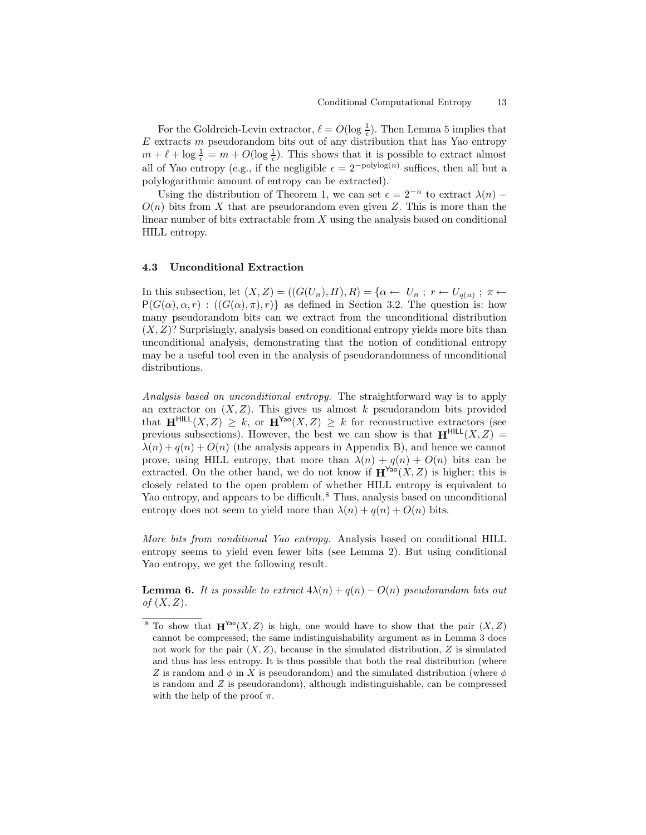For the Goldreich-Levin extractor,  $\ell = O(\log \frac{1}{\epsilon})$ . Then Lemma 5 implies that  $E$  extracts m pseudorandom bits out of any distribution that has Yao entropy  $m + \ell + \log \frac{1}{\epsilon} = m + O(\log \frac{1}{\epsilon})$ . This shows that it is possible to extract almost all of Yao entropy (e.g., if the negligible  $\epsilon = 2^{-\text{polylog}(n)}$  suffices, then all but a polylogarithmic amount of entropy can be extracted).

Using the distribution of Theorem 1, we can set  $\epsilon = 2^{-n}$  to extract  $\lambda(n)$  –  $O(n)$  bits from X that are pseudorandom even given Z. This is more than the linear number of bits extractable from X using the analysis based on conditional HILL entropy.

#### 4.3 Unconditional Extraction

In this subsection, let  $(X, Z) = ((G(U_n), \Pi), R) = \{ \alpha \leftarrow U_n : r \leftarrow U_{q(n)} : \pi \leftarrow$  $P(G(\alpha), \alpha, r) : ((G(\alpha), \pi), r)$  as defined in Section 3.2. The question is: how many pseudorandom bits can we extract from the unconditional distribution  $(X, Z)$ ? Surprisingly, analysis based on conditional entropy yields more bits than unconditional analysis, demonstrating that the notion of conditional entropy may be a useful tool even in the analysis of pseudorandomness of unconditional distributions.

Analysis based on unconditional entropy. The straightforward way is to apply an extractor on  $(X, Z)$ . This gives us almost k pseudorandom bits provided that  $\mathbf{H}^{\text{HILL}}(X, Z) \geq k$ , or  $\mathbf{H}^{\text{Yao}}(X, Z) \geq k$  for reconstructive extractors (see previous subsections). However, the best we can show is that  $H^{HILL}(X, Z) =$  $\lambda(n) + q(n) + O(n)$  (the analysis appears in Appendix B), and hence we cannot prove, using HILL entropy, that more than  $\lambda(n) + q(n) + O(n)$  bits can be extracted. On the other hand, we do not know if  $\mathbf{H}^{\text{Yao}}(X, Z)$  is higher; this is closely related to the open problem of whether HILL entropy is equivalent to Yao entropy, and appears to be difficult.<sup>8</sup> Thus, analysis based on unconditional entropy does not seem to yield more than  $\lambda(n) + q(n) + O(n)$  bits.

More bits from conditional Yao entropy. Analysis based on conditional HILL entropy seems to yield even fewer bits (see Lemma 2). But using conditional Yao entropy, we get the following result.

**Lemma 6.** It is possible to extract  $4\lambda(n) + q(n) - O(n)$  pseudorandom bits out of  $(X, Z)$ .

<sup>&</sup>lt;sup>8</sup> To show that  $\mathbf{H}^{\text{Yao}}(X, Z)$  is high, one would have to show that the pair  $(X, Z)$ cannot be compressed; the same indistinguishability argument as in Lemma 3 does not work for the pair  $(X, Z)$ , because in the simulated distribution, Z is simulated and thus has less entropy. It is thus possible that both the real distribution (where Z is random and  $\phi$  in X is pseudorandom) and the simulated distribution (where  $\phi$ is random and  $Z$  is pseudorandom), although indistinguishable, can be compressed with the help of the proof  $\pi$ .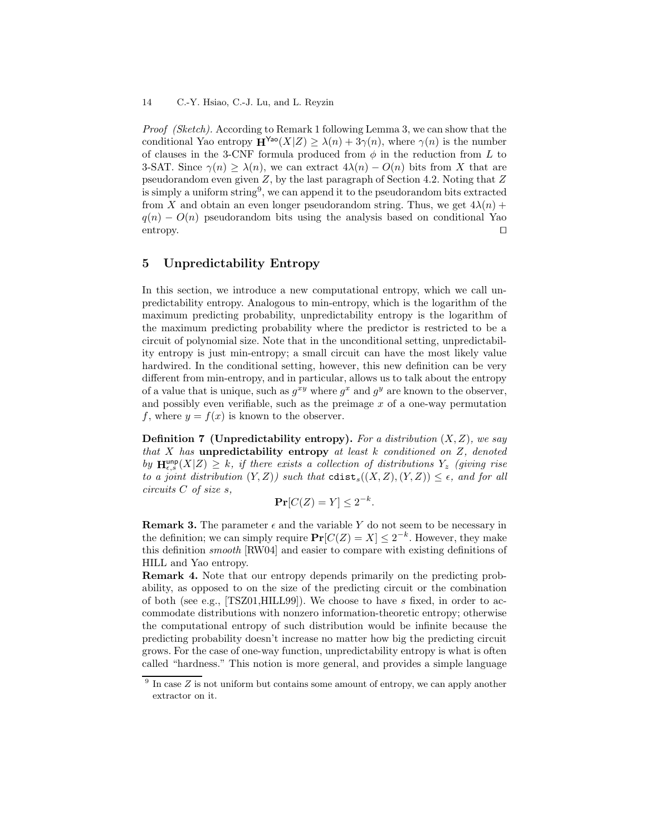Proof (Sketch). According to Remark 1 following Lemma 3, we can show that the conditional Yao entropy  $\mathbf{H}^{\text{Yao}}(X|Z) \geq \lambda(n) + 3\gamma(n)$ , where  $\gamma(n)$  is the number of clauses in the 3-CNF formula produced from  $\phi$  in the reduction from L to 3-SAT. Since  $\gamma(n) \geq \lambda(n)$ , we can extract  $4\lambda(n) - O(n)$  bits from X that are pseudorandom even given Z, by the last paragraph of Section 4.2. Noting that Z is simply a uniform string<sup>9</sup>, we can append it to the pseudorandom bits extracted from X and obtain an even longer pseudorandom string. Thus, we get  $4\lambda(n)$  +  $q(n) - O(n)$  pseudorandom bits using the analysis based on conditional Yao entropy.  $\Box$ 

# 5 Unpredictability Entropy

In this section, we introduce a new computational entropy, which we call unpredictability entropy. Analogous to min-entropy, which is the logarithm of the maximum predicting probability, unpredictability entropy is the logarithm of the maximum predicting probability where the predictor is restricted to be a circuit of polynomial size. Note that in the unconditional setting, unpredictability entropy is just min-entropy; a small circuit can have the most likely value hardwired. In the conditional setting, however, this new definition can be very different from min-entropy, and in particular, allows us to talk about the entropy of a value that is unique, such as  $g^{xy}$  where  $g^x$  and  $g^y$  are known to the observer, and possibly even verifiable, such as the preimage  $x$  of a one-way permutation f, where  $y = f(x)$  is known to the observer.

**Definition 7** (Unpredictability entropy). For a distribution  $(X, Z)$ , we say that  $X$  has unpredictability entropy at least  $k$  conditioned on  $Z$ , denoted by  $\mathbf{H}_{\epsilon,s}^{\text{unp}}(X|Z) \geq k$ , if there exists a collection of distributions  $Y_z$  (giving rise to a joint distribution  $(Y, Z)$ ) such that  $\text{cdist}_{s}((X, Z), (Y, Z)) \leq \epsilon$ , and for all circuits C of size s,

 $Pr[C(Z) = Y] \leq 2^{-k}.$ 

**Remark 3.** The parameter  $\epsilon$  and the variable Y do not seem to be necessary in the definition; we can simply require  $Pr[C(Z) = X] \leq 2^{-k}$ . However, they make this definition smooth [RW04] and easier to compare with existing definitions of HILL and Yao entropy.

Remark 4. Note that our entropy depends primarily on the predicting probability, as opposed to on the size of the predicting circuit or the combination of both (see e.g., [TSZ01,HILL99]). We choose to have s fixed, in order to accommodate distributions with nonzero information-theoretic entropy; otherwise the computational entropy of such distribution would be infinite because the predicting probability doesn't increase no matter how big the predicting circuit grows. For the case of one-way function, unpredictability entropy is what is often called "hardness." This notion is more general, and provides a simple language

 $9 \text{ In case } Z$  is not uniform but contains some amount of entropy, we can apply another extractor on it.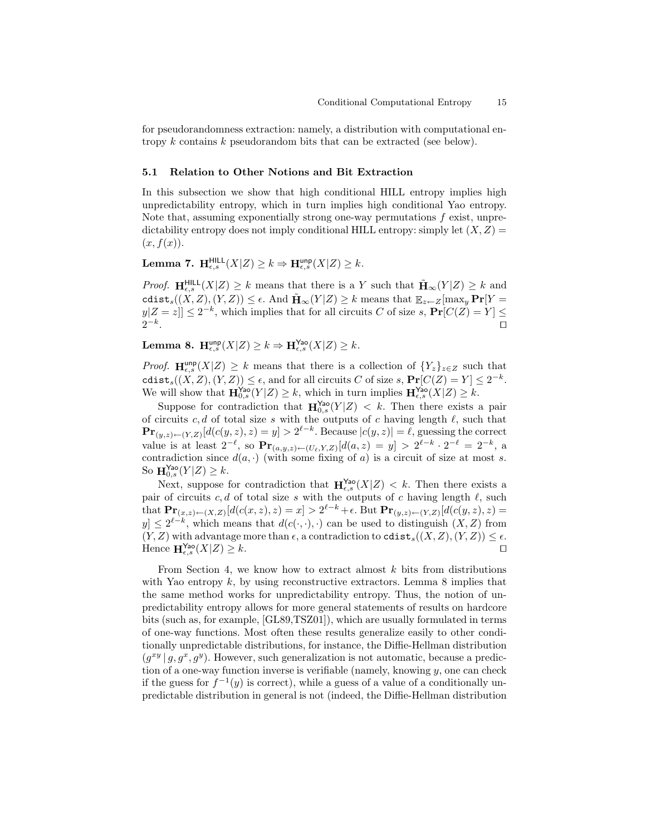for pseudorandomness extraction: namely, a distribution with computational entropy k contains k pseudorandom bits that can be extracted (see below).

#### 5.1 Relation to Other Notions and Bit Extraction

In this subsection we show that high conditional HILL entropy implies high unpredictability entropy, which in turn implies high conditional Yao entropy. Note that, assuming exponentially strong one-way permutations  $f$  exist, unpredictability entropy does not imply conditional HILL entropy: simply let  $(X, Z)$  $(x, f(x)).$ 

Lemma 7.  $\mathbf{H}^{\mathsf{HILL}}_{\epsilon,s}(X|Z) \geq k \Rightarrow \mathbf{H}^{\mathsf{unp}}_{\epsilon,s}(X|Z) \geq k.$ 

*Proof.*  $\mathbf{H}_{\epsilon,s}^{\text{HILL}}(X|Z) \geq k$  means that there is a Y such that  $\tilde{\mathbf{H}}_{\infty}(Y|Z) \geq k$  and cdist<sub>s</sub>((X,Z),(Y,Z))  $\leq$   $\epsilon$ . And  $\tilde{\mathbf{H}}_{\infty}(Y|Z) \geq k$  means that  $\mathbb{E}_{z \leftarrow Z}[\max_y \mathbf{Pr}[Y =$  $[y|Z=z]] \leq 2^{-k}$ , which implies that for all circuits C of size s,  $Pr[C(Z) = Y] \leq$  $2^{-k}$ .

Lemma 8.  $\mathbf{H}^{\text{unp}}_{\epsilon,s}(X|Z) \geq k \Rightarrow \mathbf{H}^{\text{Yao}}_{\epsilon,s}(X|Z) \geq k.$ 

*Proof.*  $\mathbf{H}_{\epsilon,s}^{\text{unp}}(X|Z) \geq k$  means that there is a collection of  $\{Y_z\}_{z\in Z}$  such that cdist<sub>s</sub>( $(X, Z), (Y, Z)$ )  $\leq \epsilon$ , and for all circuits C of size s,  $Pr[C(Z) = Y] \leq 2^{-k}$ . We will show that  $\mathbf{H}_{0,s}^{\mathsf{Y}_{\mathsf{ao}}}(Y|Z) \geq k$ , which in turn implies  $\mathbf{H}_{\epsilon,s}^{\mathsf{Y}_{\mathsf{ao}}}(X|Z) \geq k$ .

Suppose for contradiction that  $\mathbf{H}_{0,s}^{\text{Yao}}(Y|Z) \leq k$ . Then there exists a pair of circuits c, d of total size s with the outputs of c having length  $\ell$ , such that  $\mathbf{Pr}_{(y,z)\leftarrow (Y,Z)}[d(c(y,z),z)=y]>2^{\ell-k}$ . Because  $|c(y,z)|=\ell$ , guessing the correct value is at least  $2^{-\ell}$ , so  $\Pr_{(a,y,z)\leftarrow (U_{\ell},Y,Z)}[d(a,z) = y] > 2^{\ell-k} \cdot 2^{-\ell} = 2^{-k}$ , a contradiction since  $d(a, \cdot)$  (with some fixing of a) is a circuit of size at most s. So  $\mathbf{H}_{0,s}^{\mathsf{Yao}}(Y|Z) \geq k.$ 

Next, suppose for contradiction that  $\mathbf{H}_{\epsilon,s}^{\gamma_{\text{ao}}}(X|Z) < k$ . Then there exists a pair of circuits  $c, d$  of total size s with the outputs of c having length  $\ell$ , such that  $\mathbf{Pr}_{(x,z)\leftarrow (X,Z)}[d(c(x,z),z) = x] > 2^{\ell-k} + \epsilon$ . But  $\mathbf{Pr}_{(y,z)\leftarrow (Y,Z)}[d(c(y,z),z) = x]$  $y \leq 2^{\ell-k}$ , which means that  $d(c(\cdot,\cdot),\cdot)$  can be used to distinguish  $(X,Z)$  from  $(Y, Z)$  with advantage more than  $\epsilon$ , a contradiction to  $\text{cdist}_{s}((X, Z), (Y, Z)) \leq \epsilon$ . Hence  $\mathbf{H}_{\epsilon,s}^{\text{Yao}}(X|Z) \geq k.$ 

From Section 4, we know how to extract almost  $k$  bits from distributions with Yao entropy  $k$ , by using reconstructive extractors. Lemma 8 implies that the same method works for unpredictability entropy. Thus, the notion of unpredictability entropy allows for more general statements of results on hardcore bits (such as, for example, [GL89,TSZ01]), which are usually formulated in terms of one-way functions. Most often these results generalize easily to other conditionally unpredictable distributions, for instance, the Diffie-Hellman distribution  $(g^{xy} | g, g^x, g^y)$ . However, such generalization is not automatic, because a prediction of a one-way function inverse is verifiable (namely, knowing  $y$ , one can check if the guess for  $f^{-1}(y)$  is correct), while a guess of a value of a conditionally unpredictable distribution in general is not (indeed, the Diffie-Hellman distribution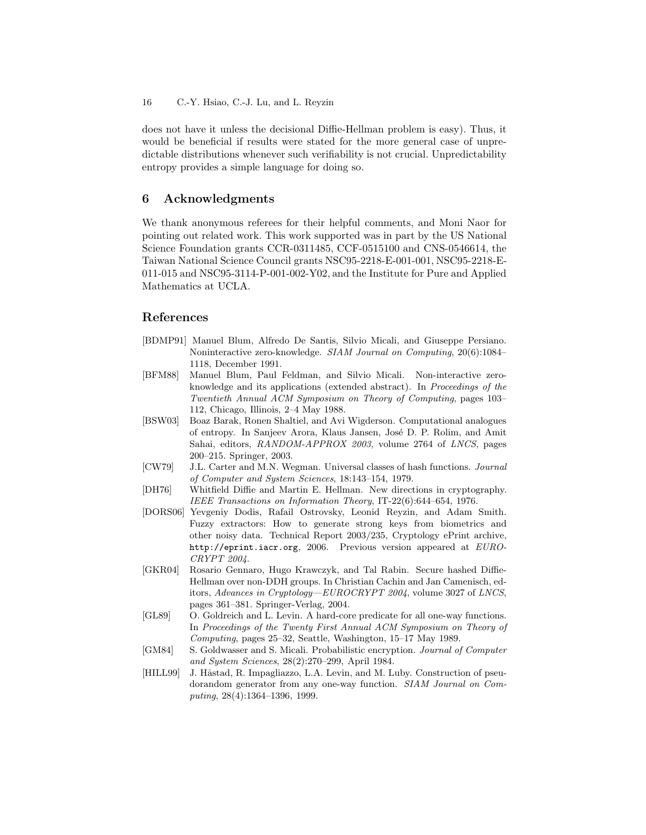does not have it unless the decisional Diffie-Hellman problem is easy). Thus, it would be beneficial if results were stated for the more general case of unpredictable distributions whenever such verifiability is not crucial. Unpredictability entropy provides a simple language for doing so.

# 6 Acknowledgments

We thank anonymous referees for their helpful comments, and Moni Naor for pointing out related work. This work supported was in part by the US National Science Foundation grants CCR-0311485, CCF-0515100 and CNS-0546614, the Taiwan National Science Council grants NSC95-2218-E-001-001, NSC95-2218-E-011-015 and NSC95-3114-P-001-002-Y02, and the Institute for Pure and Applied Mathematics at UCLA.

### References

- [BDMP91] Manuel Blum, Alfredo De Santis, Silvio Micali, and Giuseppe Persiano. Noninteractive zero-knowledge. SIAM Journal on Computing, 20(6):1084– 1118, December 1991.
- [BFM88] Manuel Blum, Paul Feldman, and Silvio Micali. Non-interactive zeroknowledge and its applications (extended abstract). In Proceedings of the Twentieth Annual ACM Symposium on Theory of Computing, pages 103– 112, Chicago, Illinois, 2–4 May 1988.
- [BSW03] Boaz Barak, Ronen Shaltiel, and Avi Wigderson. Computational analogues of entropy. In Sanjeev Arora, Klaus Jansen, José D. P. Rolim, and Amit Sahai, editors, RANDOM-APPROX 2003, volume 2764 of LNCS, pages 200–215. Springer, 2003.
- [CW79] J.L. Carter and M.N. Wegman. Universal classes of hash functions. Journal of Computer and System Sciences, 18:143–154, 1979.
- [DH76] Whitfield Diffie and Martin E. Hellman. New directions in cryptography. IEEE Transactions on Information Theory, IT-22(6):644–654, 1976.
- [DORS06] Yevgeniy Dodis, Rafail Ostrovsky, Leonid Reyzin, and Adam Smith. Fuzzy extractors: How to generate strong keys from biometrics and other noisy data. Technical Report 2003/235, Cryptology ePrint archive, http://eprint.iacr.org, 2006. Previous version appeared at EURO-CRYPT 2004.
- [GKR04] Rosario Gennaro, Hugo Krawczyk, and Tal Rabin. Secure hashed Diffie-Hellman over non-DDH groups. In Christian Cachin and Jan Camenisch, editors, Advances in Cryptology—EUROCRYPT 2004, volume 3027 of LNCS, pages 361–381. Springer-Verlag, 2004.
- [GL89] O. Goldreich and L. Levin. A hard-core predicate for all one-way functions. In Proceedings of the Twenty First Annual ACM Symposium on Theory of Computing, pages 25–32, Seattle, Washington, 15–17 May 1989.
- [GM84] S. Goldwasser and S. Micali. Probabilistic encryption. Journal of Computer and System Sciences, 28(2):270–299, April 1984.
- [HILL99] J. Håstad, R. Impagliazzo, L.A. Levin, and M. Luby. Construction of pseudorandom generator from any one-way function. SIAM Journal on Computing, 28(4):1364–1396, 1999.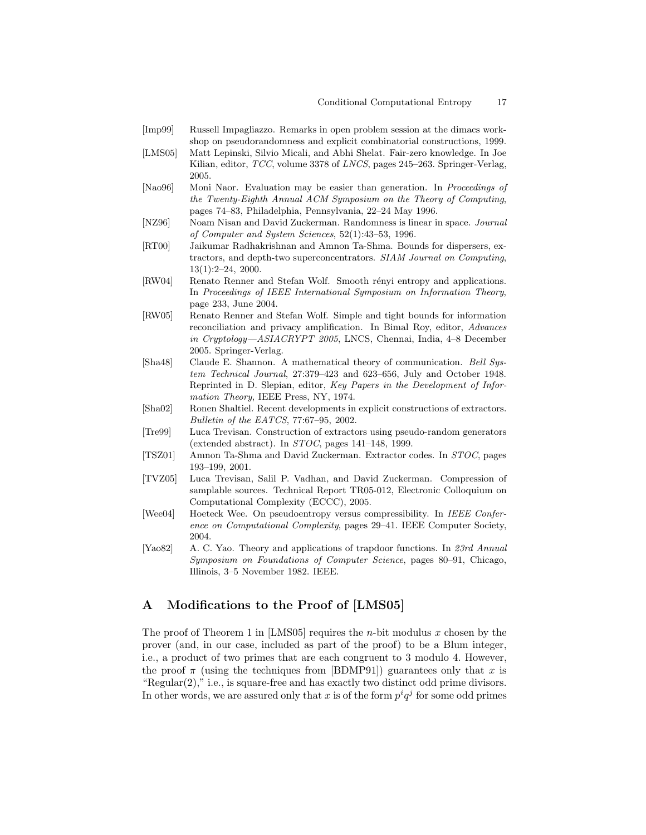- [Imp99] Russell Impagliazzo. Remarks in open problem session at the dimacs workshop on pseudorandomness and explicit combinatorial constructions, 1999.
- [LMS05] Matt Lepinski, Silvio Micali, and Abhi Shelat. Fair-zero knowledge. In Joe Kilian, editor, TCC, volume 3378 of LNCS, pages 245–263. Springer-Verlag, 2005.
- [Nao96] Moni Naor. Evaluation may be easier than generation. In *Proceedings of* the Twenty-Eighth Annual ACM Symposium on the Theory of Computing, pages 74–83, Philadelphia, Pennsylvania, 22–24 May 1996.
- [NZ96] Noam Nisan and David Zuckerman. Randomness is linear in space. Journal of Computer and System Sciences, 52(1):43–53, 1996.
- [RT00] Jaikumar Radhakrishnan and Amnon Ta-Shma. Bounds for dispersers, extractors, and depth-two superconcentrators. SIAM Journal on Computing, 13(1):2–24, 2000.
- [RW04] Renato Renner and Stefan Wolf. Smooth rényi entropy and applications. In Proceedings of IEEE International Symposium on Information Theory, page 233, June 2004.
- [RW05] Renato Renner and Stefan Wolf. Simple and tight bounds for information reconciliation and privacy amplification. In Bimal Roy, editor, Advances in Cryptology—ASIACRYPT 2005, LNCS, Chennai, India, 4–8 December 2005. Springer-Verlag.
- [Sha48] Claude E. Shannon. A mathematical theory of communication. Bell System Technical Journal, 27:379–423 and 623–656, July and October 1948. Reprinted in D. Slepian, editor, Key Papers in the Development of Information Theory, IEEE Press, NY, 1974.
- [Sha02] Ronen Shaltiel. Recent developments in explicit constructions of extractors. Bulletin of the EATCS, 77:67–95, 2002.
- [Tre99] Luca Trevisan. Construction of extractors using pseudo-random generators (extended abstract). In STOC, pages 141–148, 1999.
- [TSZ01] Amnon Ta-Shma and David Zuckerman. Extractor codes. In STOC, pages 193–199, 2001.
- [TVZ05] Luca Trevisan, Salil P. Vadhan, and David Zuckerman. Compression of samplable sources. Technical Report TR05-012, Electronic Colloquium on Computational Complexity (ECCC), 2005.
- [Wee04] Hoeteck Wee. On pseudoentropy versus compressibility. In IEEE Conference on Computational Complexity, pages 29–41. IEEE Computer Society, 2004.
- [Yao82] A. C. Yao. Theory and applications of trapdoor functions. In 23rd Annual Symposium on Foundations of Computer Science, pages 80–91, Chicago, Illinois, 3–5 November 1982. IEEE.

# A Modifications to the Proof of [LMS05]

The proof of Theorem 1 in [LMS05] requires the *n*-bit modulus  $x$  chosen by the prover (and, in our case, included as part of the proof) to be a Blum integer, i.e., a product of two primes that are each congruent to 3 modulo 4. However, the proof  $\pi$  (using the techniques from [BDMP91]) guarantees only that x is "Regular(2)," i.e., is square-free and has exactly two distinct odd prime divisors. In other words, we are assured only that x is of the form  $p^{i}q^{j}$  for some odd primes